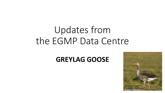# Updates from the EGMP Data Centre

#### **GREYLAG GOOSE**

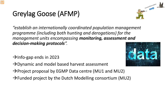## Greylag Goose (AFMP)

*"establish an internationally coordinated population management programme (including both hunting and derogations) for the management units encompassing monitoring, assessment and decision-making protocols".*

- $\rightarrow$ Info-gap ends in 2023
- $\rightarrow$  Dynamic and model based harvest assessment
- $\rightarrow$  Project proposal by EGMP Data centre (MU1 and MU2)
- $\rightarrow$  Funded project by the Dutch Modelling consortium (MU2)



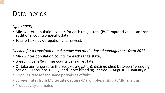#### Data needs

*Up to 2023*:

- Mid-winter population counts for each range state (IWC imputed values and/or additional country-specific data);
- Total offtake by derogation and harvest.

*Needed for a transition to a dynamic and model-based management from 2023*:

- Mid-winter population counts for each range state;
- Breeding pairs/Summer counts per range state;
- Offtake per range state (harvest + derogation), distinguished between "breeding" period (1 February-31 July) and "post-breeding" period (1 August-31 January);
- Crippling rate for the same periods as offtake
- Survival rates from Multi-state Capture-Marking-Resighting (CMR) analysis
- Productivity estimates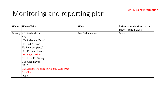### Monitoring and reporting plan

| When | Where/Who                                      | What              | Submission deadline to the |
|------|------------------------------------------------|-------------------|----------------------------|
|      |                                                |                   | <b>EGMP Data Centre</b>    |
|      | January   All: Wetlands Int.                   | Population counts | March                      |
|      | And                                            |                   |                            |
|      | NO: Relevant (few)?                            |                   |                            |
|      | SE: Leif Nilsson                               |                   |                            |
|      | $\vert$ FI: Relevant (few)?                    |                   |                            |
|      | DK: Preben Clausen                             |                   |                            |
|      | <b>DE: Babak Miller</b>                        |                   |                            |
|      | NL: Kees Koffijberg                            |                   |                            |
|      | BE: Koes Devon                                 |                   |                            |
|      | FR: ?                                          |                   |                            |
|      | <b>ES: Mariano Rodriguez Alonso/ Guillermo</b> |                   |                            |
|      | Ceballos                                       |                   |                            |
|      | PO: ?                                          |                   |                            |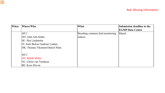| <b>When</b> | Where/Who                       | What                            | Submission deadline to the |
|-------------|---------------------------------|---------------------------------|----------------------------|
|             |                                 |                                 | <b>EGMP Data Centre</b>    |
|             | MUI                             | Breeding common bird monitoring | March                      |
|             | INO: John Atle Kålås            | indices                         |                            |
|             | SE: Åke Lindström               |                                 |                            |
|             | FI: Antti Below/Andreas Linden  |                                 |                            |
|             | DK: Thomas Vikstrøm/Daniel Palm |                                 |                            |
|             |                                 |                                 |                            |
|             | MU2                             |                                 |                            |
|             | <b>DE: Babak Miller</b>         |                                 |                            |
|             | NL: Christ van Turnhout         |                                 |                            |
|             | BE: Koes Devon                  |                                 |                            |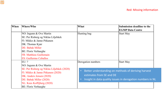| When | Where/Who                                                                                                                                                                                                                      | What                                                                                                                                                                    | Submission deadline to the<br><b>EGMP Data Centre</b> |
|------|--------------------------------------------------------------------------------------------------------------------------------------------------------------------------------------------------------------------------------|-------------------------------------------------------------------------------------------------------------------------------------------------------------------------|-------------------------------------------------------|
|      | NO: Ingunn & Ove Martin<br>SE: Per Risberg og Niklas Liljebäck<br>FI: Mikko & Janne Pitkanen<br>DK: Thomas Kjær<br>DE: Babak Miller<br><b>BE: Floris Verhaeghe</b><br>FR: Matthieu Guillemain<br><b>ES: Guillermo Ceballos</b> | Hunting bag                                                                                                                                                             | <b>Start May</b>                                      |
|      | EU: ?<br>NO: Ingunn & Ove Martin                                                                                                                                                                                               | Derogation numbers                                                                                                                                                      | <b>Start May</b>                                      |
|      | SE: Per Risberg og Niklas Liljebäck (2020)<br>FI: Mikko & Janne Pitkanen (2020)<br>DK: Anders Jensen (2020)<br>DE: Babak Miller (2020)<br>NL: Kees Koffijberg (2020)                                                           | Better understanding on methods of deriving harvest<br>$\bullet$<br>estimates from SE and DE<br>Insight in data quality issues in derogation numbers in NL<br>$\bullet$ |                                                       |
|      | <b>BE: Floris Verhaeghe</b>                                                                                                                                                                                                    |                                                                                                                                                                         |                                                       |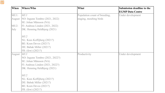| <b>When</b> | Where/Who                        | What                          | <b>Submission deadline to the</b> |
|-------------|----------------------------------|-------------------------------|-----------------------------------|
|             |                                  |                               | <b>EGMP Data Centre</b>           |
| MU1:        | MUI                              | Population count of breeding, | Under development                 |
| August      | NO: Ingunn Tombre (2021, 2022)   | staging, moulting birds       |                                   |
|             | SE: Johan Månsson (NA)           |                               |                                   |
| $MU2$ :     | FI: Andreas Linden (2021, 2022)  |                               |                                   |
| July        | DK: Henning Heldbjerg (2021)     |                               |                                   |
|             | MU2                              |                               |                                   |
|             | NL: Kees Koffijberg (2021?)      |                               |                                   |
|             | BE: Koen Devos (2021?)           |                               |                                   |
|             | DE: Babak Miller (2021?)         |                               |                                   |
|             | FR: (few) (2021?)                |                               |                                   |
| August      | MUI                              | Productivity                  | Under development                 |
|             | NO: Ingunn Tombre (2021, 2022?)  |                               |                                   |
|             | SE: Johan Månsson (NA)           |                               |                                   |
|             | FI: Andreas Linden (2021, 2022?) |                               |                                   |
|             | DK: Henning Heldbjerg (2021)     |                               |                                   |
|             | MU2                              |                               |                                   |
|             | NL: Kees Koffijberg (2021?)      |                               |                                   |
|             | DE: Babak Miller (2021?)         |                               |                                   |
|             | BE: Koen Devos (2021?)           |                               |                                   |
|             | FR: (few) (2021?)                |                               |                                   |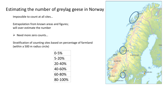#### Estimating the number of greylag geese in Norway

Impossible to count at all sites…

Extrapolation from known areas and figures; will over-estimate the number

 $\triangleright$  Need more zero counts...

Stratification of counting sites based on percentage of farmland (within a 500 m radius circle)

| 0-5%    |
|---------|
| 5-20%   |
| 20-40%  |
| 40-60%  |
| 60-80%  |
| 80-100% |

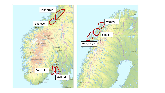